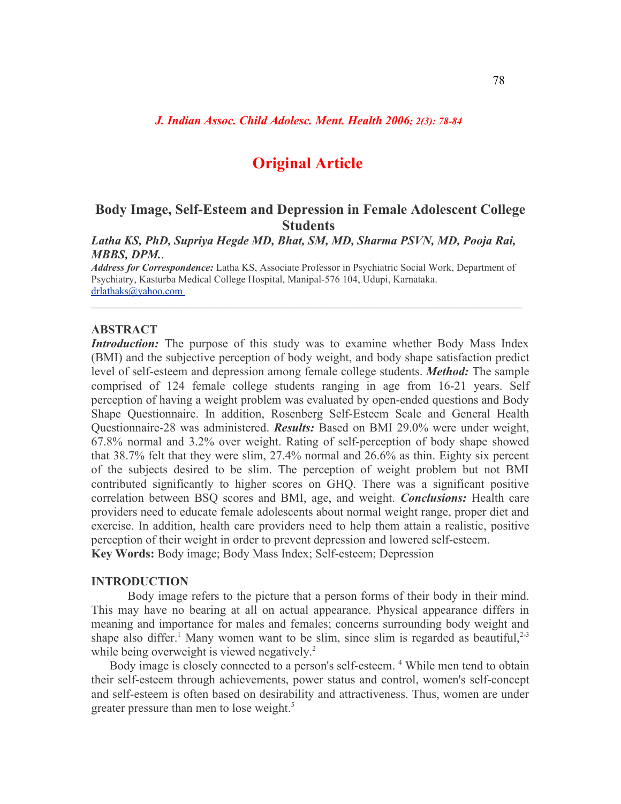*J. Indian Assoc. Child Adolesc. Ment. Health 2006; 2(3): 78-84*

# **Original Article**

# **Body Image, Self-Esteem and Depression in Female Adolescent College Students**

*Latha KS, PhD, Supriya Hegde MD, Bhat, SM, MD, Sharma PSVN, MD, Pooja Rai, MBBS, DPM.*.

*Address for Correspondence:* Latha KS, Associate Professor in Psychiatric Social Work, Department of Psychiatry, Kasturba Medical College Hospital, Manipal-576 104, Udupi, Karnataka. [drlathaks@yahoo.com](http://us.f380.mail.yahoo.com/ym/Compose?To=drlathaks@yahoo.com)

 $\mathcal{L}_\mathcal{L} = \{ \mathcal{L}_\mathcal{L} = \{ \mathcal{L}_\mathcal{L} = \{ \mathcal{L}_\mathcal{L} = \{ \mathcal{L}_\mathcal{L} = \{ \mathcal{L}_\mathcal{L} = \{ \mathcal{L}_\mathcal{L} = \{ \mathcal{L}_\mathcal{L} = \{ \mathcal{L}_\mathcal{L} = \{ \mathcal{L}_\mathcal{L} = \{ \mathcal{L}_\mathcal{L} = \{ \mathcal{L}_\mathcal{L} = \{ \mathcal{L}_\mathcal{L} = \{ \mathcal{L}_\mathcal{L} = \{ \mathcal{L}_\mathcal{$ 

## **ABSTRACT**

*Introduction:* The purpose of this study was to examine whether Body Mass Index (BMI) and the subjective perception of body weight, and body shape satisfaction predict level of self-esteem and depression among female college students. *Method:* The sample comprised of 124 female college students ranging in age from 16-21 years. Self perception of having a weight problem was evaluated by open-ended questions and Body Shape Questionnaire. In addition, Rosenberg Self-Esteem Scale and General Health Questionnaire-28 was administered. *Results:* Based on BMI 29.0% were under weight, 67.8% normal and 3.2% over weight. Rating of self-perception of body shape showed that 38.7% felt that they were slim, 27.4% normal and 26.6% as thin. Eighty six percent of the subjects desired to be slim. The perception of weight problem but not BMI contributed significantly to higher scores on GHQ. There was a significant positive correlation between BSQ scores and BMI, age, and weight. *Conclusions:* Health care providers need to educate female adolescents about normal weight range, proper diet and exercise. In addition, health care providers need to help them attain a realistic, positive perception of their weight in order to prevent depression and lowered self-esteem. **Key Words:** Body image; Body Mass Index; Self-esteem; Depression

# **INTRODUCTION**

Body image refers to the picture that a person forms of their body in their mind. This may have no bearing at all on actual appearance. Physical appearance differs in meaning and importance for males and females; concerns surrounding body weight and shape also differ.<sup>1</sup> Many women want to be slim, since slim is regarded as beautiful,<sup>2-3</sup> while being overweight is viewed negatively.<sup>2</sup>

Body image is closely connected to a person's self-esteem. <sup>4</sup> While men tend to obtain their self-esteem through achievements, power status and control, women's self-concept and self-esteem is often based on desirability and attractiveness. Thus, women are under greater pressure than men to lose weight. 5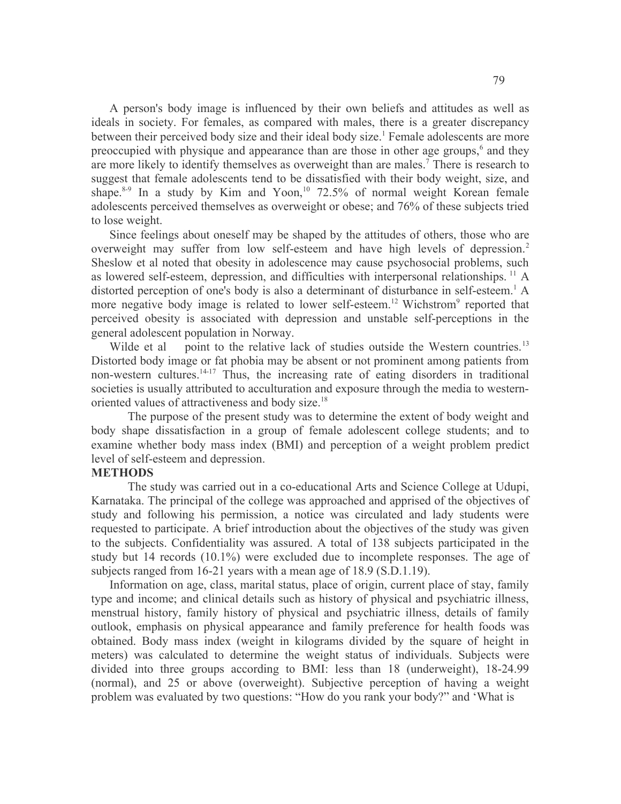A person's body image is influenced by their own beliefs and attitudes as well as ideals in society. For females, as compared with males, there is a greater discrepancy between their perceived body size and their ideal body size.<sup>1</sup> Female adolescents are more preoccupied with physique and appearance than are those in other age groups,<sup>6</sup> and they are more likely to identify themselves as overweight than are males.<sup>7</sup> There is research to suggest that female adolescents tend to be dissatisfied with their body weight, size, and shape.<sup>8-9</sup> In a study by Kim and Yoon,<sup>10</sup> 72.5% of normal weight Korean female adolescents perceived themselves as overweight or obese; and 76% of these subjects tried to lose weight.

Since feelings about oneself may be shaped by the attitudes of others, those who are overweight may suffer from low self-esteem and have high levels of depression.<sup>2</sup> Sheslow et al noted that obesity in adolescence may cause psychosocial problems, such as lowered self-esteem, depression, and difficulties with interpersonal relationships.<sup>11</sup> A distorted perception of one's body is also a determinant of disturbance in self-esteem. <sup>1</sup> A more negative body image is related to lower self-esteem.<sup>12</sup> Wichstrom<sup>9</sup> reported that perceived obesity is associated with depression and unstable self-perceptions in the general adolescent population in Norway.

Wilde et al point to the relative lack of studies outside the Western countries.<sup>13</sup> Distorted body image or fat phobia may be absent or not prominent among patients from non-western cultures.<sup>14-17</sup> Thus, the increasing rate of eating disorders in traditional societies is usually attributed to acculturation and exposure through the media to westernoriented values of attractiveness and body size.<sup>18</sup>

The purpose of the present study was to determine the extent of body weight and body shape dissatisfaction in a group of female adolescent college students; and to examine whether body mass index (BMI) and perception of a weight problem predict level of self-esteem and depression.

#### **METHODS**

The study was carried out in a co-educational Arts and Science College at Udupi, Karnataka. The principal of the college was approached and apprised of the objectives of study and following his permission, a notice was circulated and lady students were requested to participate. A brief introduction about the objectives of the study was given to the subjects. Confidentiality was assured. A total of 138 subjects participated in the study but 14 records (10.1%) were excluded due to incomplete responses. The age of subjects ranged from 16-21 years with a mean age of 18.9 (S.D.1.19).

Information on age, class, marital status, place of origin, current place of stay, family type and income; and clinical details such as history of physical and psychiatric illness, menstrual history, family history of physical and psychiatric illness, details of family outlook, emphasis on physical appearance and family preference for health foods was obtained. Body mass index (weight in kilograms divided by the square of height in meters) was calculated to determine the weight status of individuals. Subjects were divided into three groups according to BMI: less than 18 (underweight), 18-24.99 (normal), and 25 or above (overweight). Subjective perception of having a weight problem was evaluated by two questions: "How do you rank your body?" and 'What is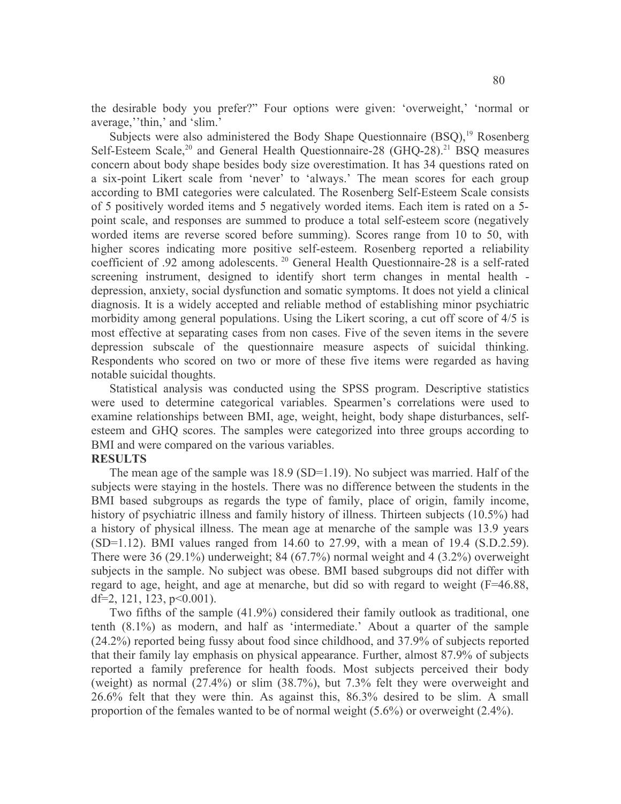the desirable body you prefer?" Four options were given: 'overweight,' 'normal or average,''thin,' and 'slim.'

Subjects were also administered the Body Shape Questionnaire (BSQ),<sup>19</sup> Rosenberg Self-Esteem Scale,<sup>20</sup> and General Health Questionnaire-28 (GHQ-28).<sup>21</sup> BSQ measures concern about body shape besides body size overestimation. It has 34 questions rated on a six-point Likert scale from 'never' to 'always.' The mean scores for each group according to BMI categories were calculated. The Rosenberg Self-Esteem Scale consists of 5 positively worded items and 5 negatively worded items. Each item is rated on a 5 point scale, and responses are summed to produce a total self-esteem score (negatively worded items are reverse scored before summing). Scores range from 10 to 50, with higher scores indicating more positive self-esteem. Rosenberg reported a reliability coefficient of .92 among adolescents. <sup>20</sup> General Health Questionnaire-28 is a self-rated screening instrument, designed to identify short term changes in mental health depression, anxiety, social dysfunction and somatic symptoms. It does not yield a clinical diagnosis. It is a widely accepted and reliable method of establishing minor psychiatric morbidity among general populations. Using the Likert scoring, a cut off score of 4/5 is most effective at separating cases from non cases. Five of the seven items in the severe depression subscale of the questionnaire measure aspects of suicidal thinking. Respondents who scored on two or more of these five items were regarded as having notable suicidal thoughts.

Statistical analysis was conducted using the SPSS program. Descriptive statistics were used to determine categorical variables. Spearmen's correlations were used to examine relationships between BMI, age, weight, height, body shape disturbances, selfesteem and GHQ scores. The samples were categorized into three groups according to BMI and were compared on the various variables.

### **RESULTS**

The mean age of the sample was 18.9 (SD=1.19). No subject was married. Half of the subjects were staying in the hostels. There was no difference between the students in the BMI based subgroups as regards the type of family, place of origin, family income, history of psychiatric illness and family history of illness. Thirteen subjects (10.5%) had a history of physical illness. The mean age at menarche of the sample was 13.9 years (SD=1.12). BMI values ranged from 14.60 to 27.99, with a mean of 19.4 (S.D.2.59). There were 36 (29.1%) underweight; 84 (67.7%) normal weight and 4 (3.2%) overweight subjects in the sample. No subject was obese. BMI based subgroups did not differ with regard to age, height, and age at menarche, but did so with regard to weight (F=46.88, df=2, 121, 123,  $p<0.001$ ).

Two fifths of the sample (41.9%) considered their family outlook as traditional, one tenth (8.1%) as modern, and half as 'intermediate.' About a quarter of the sample (24.2%) reported being fussy about food since childhood, and 37.9% of subjects reported that their family lay emphasis on physical appearance. Further, almost 87.9% of subjects reported a family preference for health foods. Most subjects perceived their body (weight) as normal (27.4%) or slim (38.7%), but 7.3% felt they were overweight and 26.6% felt that they were thin. As against this, 86.3% desired to be slim. A small proportion of the females wanted to be of normal weight (5.6%) or overweight (2.4%).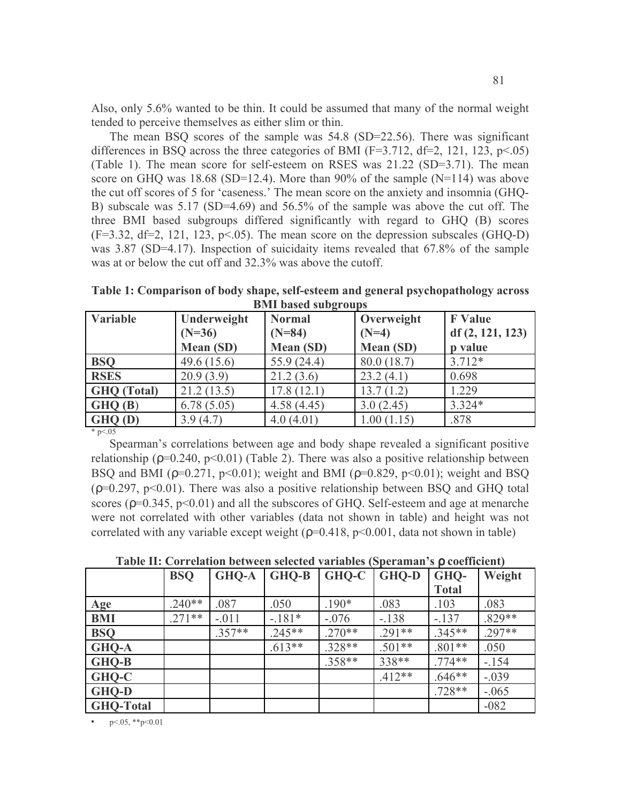Also, only 5.6% wanted to be thin. It could be assumed that many of the normal weight tended to perceive themselves as either slim or thin.

The mean BSQ scores of the sample was 54.8 (SD=22.56). There was significant differences in BSQ across the three categories of BMI (F=3.712, df=2, 121, 123,  $p<0.05$ ) (Table 1). The mean score for self-esteem on RSES was 21.22 (SD=3.71). The mean score on GHQ was  $18.68$  (SD=12.4). More than 90% of the sample (N=114) was above the cut off scores of 5 for 'caseness.' The mean score on the anxiety and insomnia (GHQ-B) subscale was 5.17 (SD=4.69) and 56.5% of the sample was above the cut off. The three BMI based subgroups differed significantly with regard to GHQ (B) scores  $(F=3.32, df=2, 121, 123, p<05)$ . The mean score on the depression subscales (GHQ-D) was 3.87 (SD=4.17). Inspection of suicidaity items revealed that 67.8% of the sample was at or below the cut off and 32.3% was above the cutoff.

**Table 1: Comparison of body shape, self-esteem and general psychopathology across BMI based subgroups**

| Variable           | Underweight          | <b>Normal</b>    | Overweight       | <b>F</b> Value  |  |
|--------------------|----------------------|------------------|------------------|-----------------|--|
|                    | $(N=36)$<br>$(N=84)$ |                  | $(N=4)$          | df(2, 121, 123) |  |
|                    | <b>Mean (SD)</b>     | <b>Mean (SD)</b> | <b>Mean (SD)</b> | p value         |  |
| <b>BSO</b>         | 49.6(15.6)           | 55.9(24.4)       | 80.0 (18.7)      | $3.712*$        |  |
| <b>RSES</b>        | 20.9(3.9)            | 21.2(3.6)        | 23.2(4.1)        | 0.698           |  |
| <b>GHQ</b> (Total) | 21.2(13.5)           | 17.8(12.1)       | 13.7(1.2)        | 1.229           |  |
| GHQ(B)             | 6.78(5.05)           | 4.58(4.45)       | 3.0(2.45)        | $3.324*$        |  |
| GHQ(D)             | 3.9(4.7)             | 4.0(4.01)        | 1.00(1.15)       | .878            |  |

 $*$  p $< 05$ 

Spearman's correlations between age and body shape revealed a significant positive relationship ( $\rho$ =0.240,  $p$ <0.01) (Table 2). There was also a positive relationship between BSQ and BMI ( $p=0.271$ ,  $p<0.01$ ); weight and BMI ( $p=0.829$ ,  $p<0.01$ ); weight and BSQ  $(p=0.297, p<0.01)$ . There was also a positive relationship between BSQ and GHQ total scores ( $p=0.345$ ,  $p<0.01$ ) and all the subscores of GHO. Self-esteem and age at menarche were not correlated with other variables (data not shown in table) and height was not correlated with any variable except weight  $(p=0.418, p<0.001$ , data not shown in table)

| Table II: Correlation between selected variables (Speraman's $\rho$ coefficient) |  |  |
|----------------------------------------------------------------------------------|--|--|
|----------------------------------------------------------------------------------|--|--|

|                  | <b>BSQ</b> | <b>GHQ-A</b> | <b>GHQ-B</b> | GHQ-C    | <b>GHQ-D</b> | GHQ-         | Weight   |
|------------------|------------|--------------|--------------|----------|--------------|--------------|----------|
|                  |            |              |              |          |              | <b>Total</b> |          |
| Age              | $.240**$   | .087         | .050         | $.190*$  | .083         | .103         | .083     |
| <b>BMI</b>       | $.271**$   | $-.011$      | $-.181*$     | $-.076$  | $-.138$      | $-137$       | $.829**$ |
| <b>BSQ</b>       |            | $.357**$     | $.245**$     | $.270**$ | $.291**$     | $.345**$     | $.297**$ |
| <b>GHQ-A</b>     |            |              | $.613**$     | $.328**$ | $.501**$     | $.801**$     | .050     |
| <b>GHQ-B</b>     |            |              |              | $.358**$ | 338**        | $.774**$     | $-154$   |
| GHQ-C            |            |              |              |          | $.412**$     | $.646**$     | $-.039$  |
| <b>GHQ-D</b>     |            |              |              |          |              | $.728**$     | $-.065$  |
| <b>GHQ-Total</b> |            |              |              |          |              |              | $-082$   |

 $p<0.05$ , \*\*p<0.01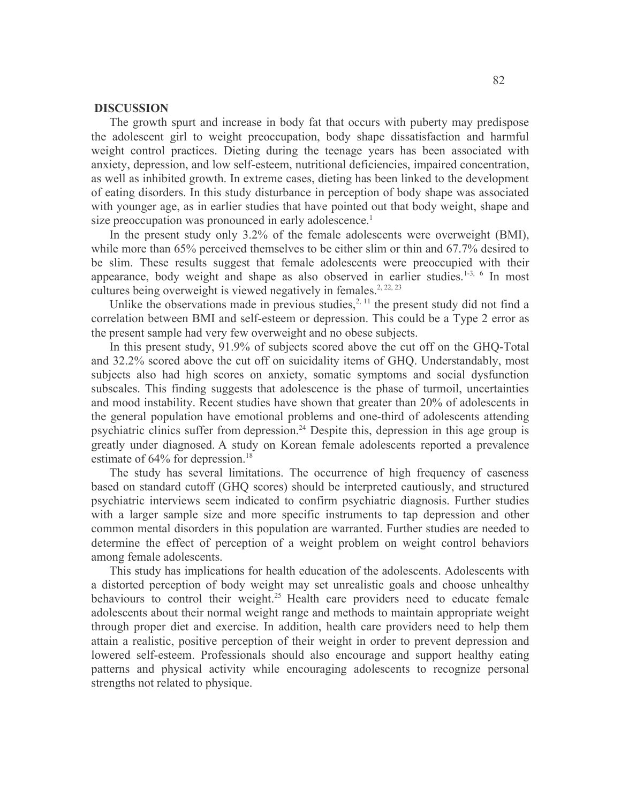### **DISCUSSION**

The growth spurt and increase in body fat that occurs with puberty may predispose the adolescent girl to weight preoccupation, body shape dissatisfaction and harmful weight control practices. Dieting during the teenage years has been associated with anxiety, depression, and low self-esteem, nutritional deficiencies, impaired concentration, as well as inhibited growth. In extreme cases, dieting has been linked to the development of eating disorders. In this study disturbance in perception of body shape was associated with younger age, as in earlier studies that have pointed out that body weight, shape and size preoccupation was pronounced in early adolescence.<sup>1</sup>

In the present study only 3.2% of the female adolescents were overweight (BMI), while more than 65% perceived themselves to be either slim or thin and 67.7% desired to be slim. These results suggest that female adolescents were preoccupied with their appearance, body weight and shape as also observed in earlier studies.<sup>1-3, 6</sup> In most cultures being overweight is viewed negatively in females.<sup>2, 22, 23</sup>

Unlike the observations made in previous studies, $^{2,11}$  the present study did not find a correlation between BMI and self-esteem or depression. This could be a Type 2 error as the present sample had very few overweight and no obese subjects.

In this present study, 91.9% of subjects scored above the cut off on the GHQ-Total and 32.2% scored above the cut off on suicidality items of GHQ. Understandably, most subjects also had high scores on anxiety, somatic symptoms and social dysfunction subscales. This finding suggests that adolescence is the phase of turmoil, uncertainties and mood instability. Recent studies have shown that greater than 20% of adolescents in the general population have emotional problems and one-third of adolescents attending psychiatric clinics suffer from depression.<sup>24</sup> Despite this, depression in this age group is greatly under diagnosed. A study on Korean female adolescents reported a prevalence estimate of 64% for depression.<sup>18</sup>

The study has several limitations. The occurrence of high frequency of caseness based on standard cutoff (GHQ scores) should be interpreted cautiously, and structured psychiatric interviews seem indicated to confirm psychiatric diagnosis. Further studies with a larger sample size and more specific instruments to tap depression and other common mental disorders in this population are warranted. Further studies are needed to determine the effect of perception of a weight problem on weight control behaviors among female adolescents.

This study has implications for health education of the adolescents. Adolescents with a distorted perception of body weight may set unrealistic goals and choose unhealthy behaviours to control their weight.<sup>25</sup> Health care providers need to educate female adolescents about their normal weight range and methods to maintain appropriate weight through proper diet and exercise. In addition, health care providers need to help them attain a realistic, positive perception of their weight in order to prevent depression and lowered self-esteem. Professionals should also encourage and support healthy eating patterns and physical activity while encouraging adolescents to recognize personal strengths not related to physique.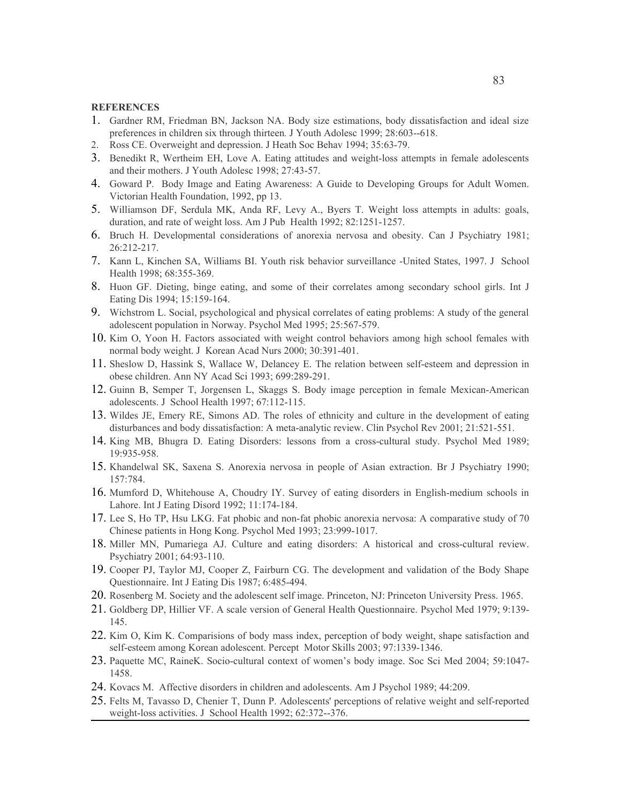#### **REFERENCES**

- 1. Gardner RM, Friedman BN, Jackson NA. Body size estimations, body dissatisfaction and ideal size preferences in children six through thirteen*.* J Youth Adolesc 1999; 28:603--618.
- 2. Ross CE. Overweight and depression. J Heath Soc Behav 1994; 35:63-79.
- 3. Benedikt R, Wertheim EH, Love A. Eating attitudes and weight-loss attempts in female adolescents and their mothers. J Youth Adolesc 1998; 27:43-57.
- 4. Goward P. Body Image and Eating Awareness: A Guide to Developing Groups for Adult Women. Victorian Health Foundation, 1992, pp 13.
- 5. Williamson DF, Serdula MK, Anda RF, Levy A., Byers T. Weight loss attempts in adults: goals, duration, and rate of weight loss. Am J Pub Health 1992; 82:1251-1257.
- 6. Bruch H. Developmental considerations of anorexia nervosa and obesity. Can J Psychiatry 1981; 26:212-217.
- 7. Kann L, Kinchen SA, Williams BI. Youth risk behavior surveillance -United States, 1997. J School Health 1998; 68:355-369.
- 8. Huon GF. Dieting, binge eating, and some of their correlates among secondary school girls. Int J Eating Dis 1994; 15:159-164.
- 9. Wichstrom L. Social, psychological and physical correlates of eating problems: A study of the general adolescent population in Norway. Psychol Med 1995; 25:567-579.
- 10. Kim O, Yoon H. Factors associated with weight control behaviors among high school females with normal body weight. J Korean Acad Nurs 2000; 30:391-401.
- 11. Sheslow D, Hassink S, Wallace W, Delancey E. The relation between self-esteem and depression in obese children. Ann NY Acad Sci 1993; 699:289-291.
- 12. Guinn B, Semper T, Jorgensen L, Skaggs S. Body image perception in female Mexican-American adolescents. J School Health 1997; 67:112-115.
- 13. Wildes JE, Emery RE, Simons AD. The roles of ethnicity and culture in the development of eating disturbances and body dissatisfaction: A meta-analytic review. Clin Psychol Rev 2001; 21:521-551.
- 14. King MB, Bhugra D. Eating Disorders: lessons from a cross-cultural study. Psychol Med 1989; 19:935-958.
- 15. Khandelwal SK, Saxena S. Anorexia nervosa in people of Asian extraction. Br J Psychiatry 1990; 157:784.
- 16. Mumford D, Whitehouse A, Choudry IY. Survey of eating disorders in English-medium schools in Lahore. Int J Eating Disord 1992; 11:174-184.
- 17. Lee S, Ho TP, Hsu LKG. Fat phobic and non-fat phobic anorexia nervosa: A comparative study of 70 Chinese patients in Hong Kong. Psychol Med 1993; 23:999-1017.
- 18. Miller MN, Pumariega AJ. Culture and eating disorders: A historical and cross-cultural review. Psychiatry 2001; 64:93-110.
- 19. Cooper PJ, Taylor MJ, Cooper Z, Fairburn CG. The development and validation of the Body Shape Questionnaire. Int J Eating Dis 1987; 6:485-494.
- 20. Rosenberg M. Society and the adolescent self image. Princeton, NJ: Princeton University Press. 1965.
- 21. Goldberg DP, Hillier VF. A scale version of General Health Questionnaire. Psychol Med 1979; 9:139- 145.
- 22. Kim O, Kim K. Comparisions of body mass index, perception of body weight, shape satisfaction and self-esteem among Korean adolescent. Percept Motor Skills 2003; 97:1339-1346.
- 23. Paquette MC, RaineK. Socio-cultural context of women's body image. Soc Sci Med 2004; 59:1047- 1458.
- 24. Kovacs M. Affective disorders in children and adolescents. Am J Psychol 1989; 44:209.
- 25. Felts M, Tavasso D, Chenier T, Dunn P. Adolescents' perceptions of relative weight and self-reported weight-loss activities. J School Health 1992; 62:372--376.